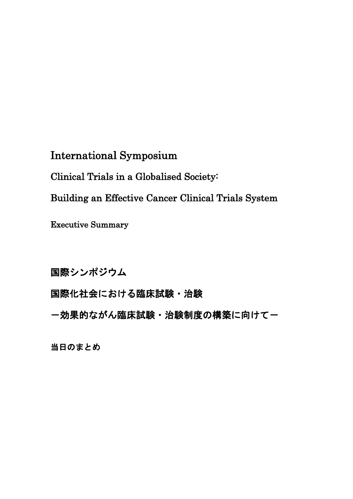International Symposium

Clinical Trials in a Globalised Society:

Building an Effective Cancer Clinical Trials System

Executive Summary

国際シンポジウム

国際化社会における臨床試験・治験

- 効果的ながん臨床試験 · 治験制度の構築に向けて一

当日のまとめ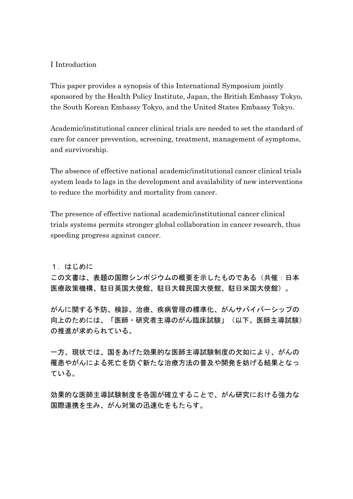## I Introduction

This paper provides a synopsis of this International Symposium jointly sponsored by the Health Policy Institute, Japan, the British Embassy Tokyo, the South Korean Embassy Tokyo, and the United States Embassy Tokyo.

Academic/institutional cancer clinical trials are needed to set the standard of care for cancer prevention, screening, treatment, management of symptoms, and survivorship.

The absence of effective national academic/institutional cancer clinical trials system leads to lags in the development and availability of new interventions to reduce the morbidity and mortality from cancer.

The presence of effective national academic/institutional cancer clinical trials systems permits stronger global collaboration in cancer research, thus speeding progress against cancer.

1.はじめに

この文書は、表題の国際シンポジウムの概要を示したものである(共催:日本 医療政策機構、駐日英国大使館、駐日大韓民国大使館、駐日米国大使館)。

がんに関する予防、検診、治療、疾病管理の標準化、がんサバイバーシップの 向上のためには、「医師・研究者主導のがん臨床試験」(以下、医師主導試験) の推進が求められている。

一方、現状では、国をあげた効果的な医師主導試験制度の欠如により、がんの 罹患やがんによる死亡を防ぐ新たな治療方法の普及や開発を妨げる結果となっ ている。

効果的な医師主導試験制度を各国が確立することで、がん研究における強力な 国際連携を生み、がん対策の迅速化をもたらす。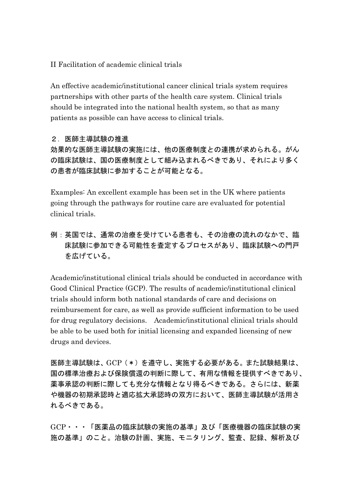II Facilitation of academic clinical trials

An effective academic/institutional cancer clinical trials system requires partnerships with other parts of the health care system. Clinical trials should be integrated into the national health system, so that as many patients as possible can have access to clinical trials.

### 2.医師主導試験の推進

効果的な医師主導試験の実施には、他の医療制度との連携が求められる。がん の臨床試験は、国の医療制度として組み込まれるべきであり、それにより多く の患者が臨床試験に参加することが可能となる。

Examples: An excellent example has been set in the UK where patients going through the pathways for routine care are evaluated for potential clinical trials.

例:英国では、通常の治療を受けている患者も、その治療の流れのなかで、臨 床試験に参加できる可能性を査定するプロセスがあり、臨床試験への門戸 を広げている。

Academic/institutional clinical trials should be conducted in accordance with Good Clinical Practice (GCP). The results of academic/institutional clinical trials should inform both national standards of care and decisions on reimbursement for care, as well as provide sufficient information to be used for drug regulatory decisions. Academic/institutional clinical trials should be able to be used both for initial licensing and expanded licensing of new drugs and devices.

医師主導試験は、GCP(\*)を遵守し、実施する必要がある。また試験結果は、 国の標準治療および保険償還の判断に際して、有用な情報を提供すべきであり、 薬事承認の判断に際しても充分な情報となり得るべきである。さらには、新薬 や機器の初期承認時と適応拡大承認時の双方において、医師主導試験が活用さ れるべきである。

GCP・・・「医薬品の臨床試験の実施の基準」及び「医療機器の臨床試験の実 施の基準」のこと。治験の計画、実施、モニタリング、監査、記録、解析及び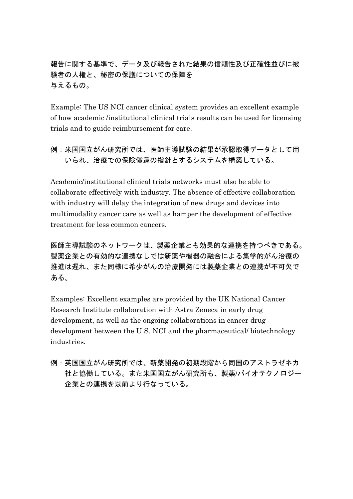報告に関する基準で、データ及び報告された結果の信頼性及び正確性並びに被 験者の人権と、秘密の保護についての保障を 与えるもの。

Example: The US NCI cancer clinical system provides an excellent example of how academic /institutional clinical trials results can be used for licensing trials and to guide reimbursement for care.

# 例:米国国立がん研究所では、医師主導試験の結果が承認取得データとして用 いられ、治療での保険償還の指針とするシステムを構築している。

Academic/institutional clinical trials networks must also be able to collaborate effectively with industry. The absence of effective collaboration with industry will delay the integration of new drugs and devices into multimodality cancer care as well as hamper the development of effective treatment for less common cancers.

医師主導試験のネットワークは、製薬企業とも効果的な連携を持つべきである。 製薬企業との有効的な連携なしでは新薬や機器の融合による集学的がん治療の 推進は遅れ、また同様に希少がんの治療開発には製薬企業との連携が不可欠で ある。

Examples: Excellent examples are provided by the UK National Cancer Research Institute collaboration with Astra Zeneca in early drug development, as well as the ongoing collaborations in cancer drug development between the U.S. NCI and the pharmaceutical/ biotechnology industries.

例:英国国立がん研究所では、新薬開発の初期段階から同国のアストラゼネカ 社と協働している。また米国国立がん研究所も、製薬/バイオテクノロジー 企業との連携を以前より行なっている。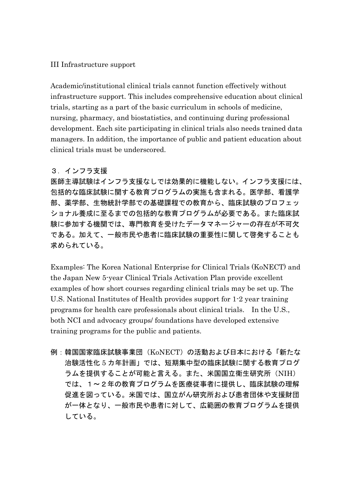#### III Infrastructure support

Academic/institutional clinical trials cannot function effectively without infrastructure support. This includes comprehensive education about clinical trials, starting as a part of the basic curriculum in schools of medicine, nursing, pharmacy, and biostatistics, and continuing during professional development. Each site participating in clinical trials also needs trained data managers. In addition, the importance of public and patient education about clinical trials must be underscored.

## 3.インフラ支援

医師主導試験はインフラ支援なしでは効果的に機能しない。インフラ支援には、 包括的な臨床試験に関する教育プログラムの実施も含まれる。医学部、看護学 部、薬学部、生物統計学部での基礎課程での教育から、臨床試験のプロフェッ ショナル養成に至るまでの包括的な教育プログラムが必要である。また臨床試 験に参加する機関では、専門教育を受けたデータマネージャーの存在が不可欠 である。加えて、一般市民や患者に臨床試験の重要性に関して啓発することも 求められている。

Examples: The Korea National Enterprise for Clinical Trials (KoNECT) and the Japan New 5-year Clinical Trials Activation Plan provide excellent examples of how short courses regarding clinical trials may be set up. The U.S. National Institutes of Health provides support for 1-2 year training programs for health care professionals about clinical trials. In the U.S., both NCI and advocacy groups/ foundations have developed extensive training programs for the public and patients.

例:韓国国家臨床試験事業団(KoNECT)の活動および日本における「新たな 治験活性化 5 カ年計画」では、短期集中型の臨床試験に関する教育プログ ラムを提供することが可能と言える。また、米国国立衛生研究所(NIH) では、1~2年の教育プログラムを医療従事者に提供し、臨床試験の理解 促進を図っている。米国では、国立がん研究所および患者団体や支援財団 が一体となり、一般市民や患者に対して、広範囲の教育プログラムを提供 している。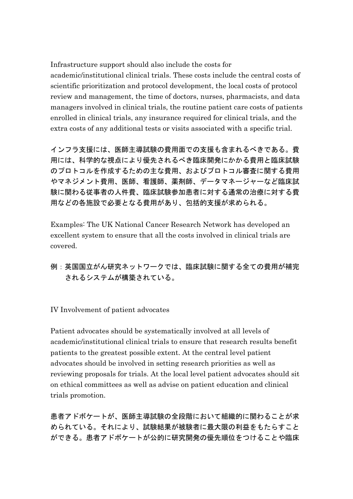Infrastructure support should also include the costs for

academic/institutional clinical trials. These costs include the central costs of scientific prioritization and protocol development, the local costs of protocol review and management, the time of doctors, nurses, pharmacists, and data managers involved in clinical trials, the routine patient care costs of patients enrolled in clinical trials, any insurance required for clinical trials, and the extra costs of any additional tests or visits associated with a specific trial.

インフラ支援には、医師主導試験の費用面での支援も含まれるべきである。費 用には、科学的な視点により優先されるべき臨床開発にかかる費用と臨床試験 のプロトコルを作成するための主な費用、およびプロトコル審査に関する費用 やマネジメント費用、医師、看護師、薬剤師、データマネージャーなど臨床試 験に関わる従事者の人件費、臨床試験参加患者に対する通常の治療に対する費 用などの各施設で必要となる費用があり、包括的支援が求められる。

Examples: The UK National Cancer Research Network has developed an excellent system to ensure that all the costs involved in clinical trials are covered.

# 例:英国国立がん研究ネットワークでは、臨床試験に関する全ての費用が補完 されるシステムが構築されている。

IV Involvement of patient advocates

Patient advocates should be systematically involved at all levels of academic/institutional clinical trials to ensure that research results benefit patients to the greatest possible extent. At the central level patient advocates should be involved in setting research priorities as well as reviewing proposals for trials. At the local level patient advocates should sit on ethical committees as well as advise on patient education and clinical trials promotion.

患者アドボケートが、医師主導試験の全段階において組織的に関わることが求 められている。それにより、試験結果が被験者に最大限の利益をもたらすこと ができる。患者アドボケートが公的に研究開発の優先順位をつけることや臨床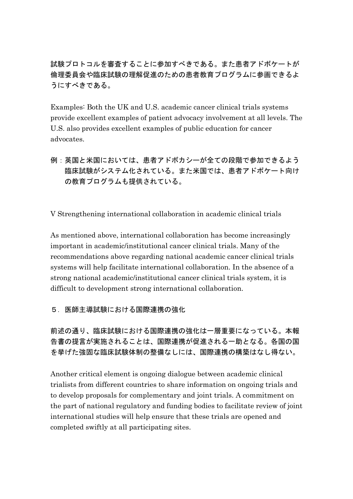試験プロトコルを審査することに参加すべきである。また患者アドボケートが 倫理委員会や臨床試験の理解促進のための患者教育プログラムに参画できるよ うにすべきである。

Examples: Both the UK and U.S. academic cancer clinical trials systems provide excellent examples of patient advocacy involvement at all levels. The U.S. also provides excellent examples of public education for cancer advocates.

例:英国と米国においては、患者アドボカシーが全ての段階で参加できるよう 臨床試験がシステム化されている。また米国では、患者アドボケート向け の教育プログラムも提供されている。

V Strengthening international collaboration in academic clinical trials

As mentioned above, international collaboration has become increasingly important in academic/institutional cancer clinical trials. Many of the recommendations above regarding national academic cancer clinical trials systems will help facilitate international collaboration. In the absence of a strong national academic/institutional cancer clinical trials system, it is difficult to development strong international collaboration.

5. 医師主導試験における国際連携の強化

前述の通り、臨床試験における国際連携の強化は一層重要になっている。本報 告書の提言が実施されることは、国際連携が促進される一助となる。各国の国 を挙げた強固な臨床試験体制の整備なしには、国際連携の構築はなし得ない。

Another critical element is ongoing dialogue between academic clinical trialists from different countries to share information on ongoing trials and to develop proposals for complementary and joint trials. A commitment on the part of national regulatory and funding bodies to facilitate review of joint international studies will help ensure that these trials are opened and completed swiftly at all participating sites.